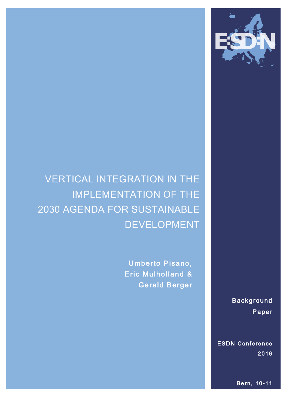

# VERTICAL INTEGRATION IN THE IMPLEMENTATION OF THE 2030 AGENDA FOR SUSTAINABLE DEVELOPMENT

Umberto Pisano, Eric Mulholland & Gerald Berger

> Background Paper

ESDN Conference 2016

Bern, 10-11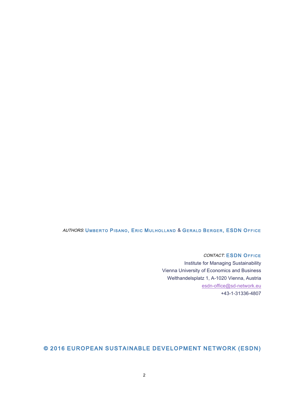#### AUTHORS: UMBERTO PISANO, ERIC MULHOLLAND & GERALD BERGER, ESDN OFFICE

CONTACT: ESDN OFFICE Institute for Managing Sustainability Vienna University of Economics and Business Welthandelsplatz 1, A-1020 Vienna, Austria esdn-office@sd-network.eu +43-1-31336-4807

### © 2016 EUROPEAN SUSTAINABLE DEVELOPMENT NETWORK (ESDN)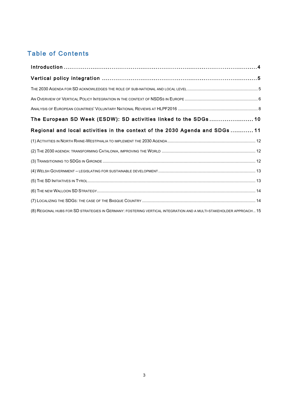## Table of Contents

| The European SD Week (ESDW): SD activities linked to the SDGs 10                                                   |  |
|--------------------------------------------------------------------------------------------------------------------|--|
| Regional and local activities in the context of the 2030 Agenda and SDGs 11                                        |  |
|                                                                                                                    |  |
|                                                                                                                    |  |
|                                                                                                                    |  |
|                                                                                                                    |  |
|                                                                                                                    |  |
|                                                                                                                    |  |
|                                                                                                                    |  |
| (8) REGIONAL HUBS FOR SD STRATEGIES IN GERMANY: FOSTERING VERTICAL INTEGRATION AND A MULTI-STAKEHOLDER APPROACH 15 |  |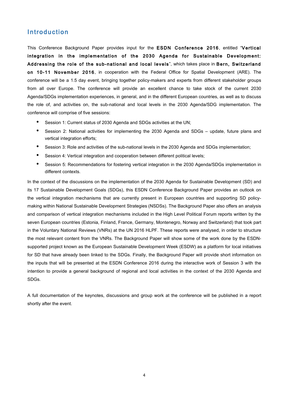### Introduction

This Conference Background Paper provides input for the ESDN Conference 2016, entitled "Vertical integration in the implementation of the 2030 Agenda for Sustainable Development: Addressing the role of the sub-national and local levels", which takes place in Bern, Switzerland on 10-11 November 2016, in cooperation with the Federal Office for Spatial Development (ARE). The conference will be a 1.5 day event, bringing together policy-makers and experts from different stakeholder groups from all over Europe. The conference will provide an excellent chance to take stock of the current 2030 Agenda/SDGs implementation experiences, in general, and in the different European countries, as well as to discuss the role of, and activities on, the sub-national and local levels in the 2030 Agenda/SDG implementation. The conference will comprise of five sessions:

- Session 1: Current status of 2030 Agenda and SDGs activities at the UN;
- Session 2: National activities for implementing the 2030 Agenda and SDGs update, future plans and vertical integration efforts;
- Session 3: Role and activities of the sub-national levels in the 2030 Agenda and SDGs implementation:
- Session 4: Vertical integration and cooperation between different political levels;
- Session 5: Recommendations for fostering vertical integration in the 2030 Agenda/SDGs implementation in different contexts.

In the context of the discussions on the implementation of the 2030 Agenda for Sustainable Development (SD) and its 17 Sustainable Development Goals (SDGs), this ESDN Conference Background Paper provides an outlook on the vertical integration mechanisms that are currently present in European countries and supporting SD policymaking within National Sustainable Development Strategies (NSDSs). The Background Paper also offers an analysis and comparison of vertical integration mechanisms included in the High Level Political Forum reports written by the seven European countries (Estonia, Finland, France, Germany, Montenegro, Norway and Switzerland) that took part in the Voluntary National Reviews (VNRs) at the UN 2016 HLPF. These reports were analysed, in order to structure the most relevant content from the VNRs. The Background Paper will show some of the work done by the ESDNsupported project known as the European Sustainable Development Week (ESDW) as a platform for local initiatives for SD that have already been linked to the SDGs. Finally, the Background Paper will provide short information on the inputs that will be presented at the ESDN Conference 2016 during the interactive work of Session 3 with the intention to provide a general background of regional and local activities in the context of the 2030 Agenda and SDGs.

A full documentation of the keynotes, discussions and group work at the conference will be published in a report shortly after the event.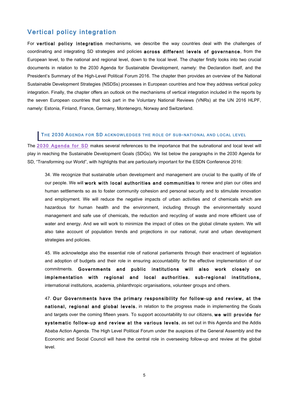### Vertical policy integration

For vertical policy integration mechanisms, we describe the way countries deal with the challenges of coordinating and integrating SD strategies and policies across different levels of governance, from the European level, to the national and regional level, down to the local level. The chapter firstly looks into two crucial documents in relation to the 2030 Agenda for Sustainable Development, namely: the Declaration itself, and the President's Summary of the High-Level Political Forum 2016. The chapter then provides an overview of the National Sustainable Development Strategies (NSDSs) processes in European countries and how they address vertical policy integration. Finally, the chapter offers an outlook on the mechanisms of vertical integration included in the reports by the seven European countries that took part in the Voluntary National Reviews (VNRs) at the UN 2016 HLPF, namely: Estonia, Finland, France, Germany, Montenegro, Norway and Switzerland.

#### THE 2030 AGENDA FOR SD ACKNOWLEDGES THE ROLE OF SUB-NATIONAL AND LOCAL LEVEL

The 2030 Agenda for SD makes several references to the importance that the subnational and local level will play in reaching the Sustainable Development Goals (SDGs). We list below the paragraphs in the 2030 Agenda for SD, "Transforming our World", with highlights that are particularly important for the ESDN Conference 2016:

34. We recognize that sustainable urban development and management are crucial to the quality of life of our people. We will work with local authorities and communities to renew and plan our cities and human settlements so as to foster community cohesion and personal security and to stimulate innovation and employment. We will reduce the negative impacts of urban activities and of chemicals which are hazardous for human health and the environment, including through the environmentally sound management and safe use of chemicals, the reduction and recycling of waste and more efficient use of water and energy. And we will work to minimize the impact of cities on the global climate system. We will also take account of population trends and projections in our national, rural and urban development strategies and policies.

45. We acknowledge also the essential role of national parliaments through their enactment of legislation and adoption of budgets and their role in ensuring accountability for the effective implementation of our commitments. Governments and public institutions will also work closely on implementation with regional and local authorities, sub-regional institutions, international institutions, academia, philanthropic organisations, volunteer groups and others.

47. Our Governments have the primary responsibility for follow-up and review, at the national, regional and global levels, in relation to the progress made in implementing the Goals and targets over the coming fifteen years. To support accountability to our citizens, we will provide for systematic follow-up and review at the various levels, as set out in this Agenda and the Addis Ababa Action Agenda. The High Level Political Forum under the auspices of the General Assembly and the Economic and Social Council will have the central role in overseeing follow-up and review at the global level.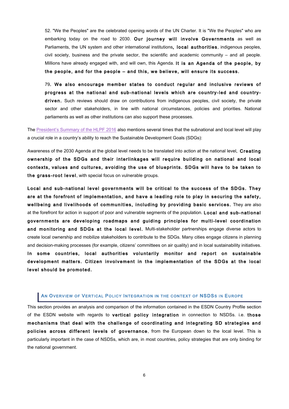52. "We the Peoples" are the celebrated opening words of the UN Charter. It is "We the Peoples" who are embarking today on the road to 2030. Our journey will involve Governments as well as Parliaments, the UN system and other international institutions, local authorities, indigenous peoples, civil society, business and the private sector, the scientific and academic community – and all people. Millions have already engaged with, and will own, this Agenda. It is an Agenda of the people, by the people, and for the people – and this, we believe, will ensure its success.

79. We also encourage member states to conduct regular and inclusive reviews of progress at the national and sub-national levels which are country-led and countrydriven. Such reviews should draw on contributions from indigenous peoples, civil society, the private sector and other stakeholders, in line with national circumstances, policies and priorities. National parliaments as well as other institutions can also support these processes.

The President's Summary of the HLPF 2016 also mentions several times that the subnational and local level will play a crucial role in a country's ability to reach the Sustainable Development Goals (SDGs):

Awareness of the 2030 Agenda at the global level needs to be translated into action at the national level. Creating ownership of the SDGs and their interlinkages will require building on national and local contexts, values and cultures, avoiding the use of blueprints. SDGs will have to be taken to the grass-root level, with special focus on vulnerable groups.

Local and sub-national level governments will be critical to the success of the SDGs. They are at the forefront of implementation, and have a leading role to play in securing the safety, wellbeing and livelihoods of communities, including by providing basic services. They are also at the forefront for action in support of poor and vulnerable segments of the population. Local and sub-national governments are developing roadmaps and guiding principles for multi-level coordination and monitoring and SDGs at the local level. Multi-stakeholder partnerships engage diverse actors to create local ownership and mobilize stakeholders to contribute to the SDGs. Many cities engage citizens in planning and decision-making processes (for example, citizens' committees on air quality) and in local sustainability initiatives. In some countries, local authorities voluntarily monitor and report on sustainable development matters. Citizen involvement in the implementation of the SDGs at the local level should be promoted.

#### AN OVERVIEW OF VERTICAL POLICY INTEGRATION IN THE CONTEXT OF NSDSS IN EUROPE

This section provides an analysis and comparison of the information contained in the ESDN Country Profile section of the ESDN website with regards to vertical policy integration in connection to NSDSs. i.e. those mechanisms that deal with the challenge of coordinating and integrating SD strategies and policies across different levels of governance, from the European down to the local level. This is particularly important in the case of NSDSs, which are, in most countries, policy strategies that are only binding for the national government.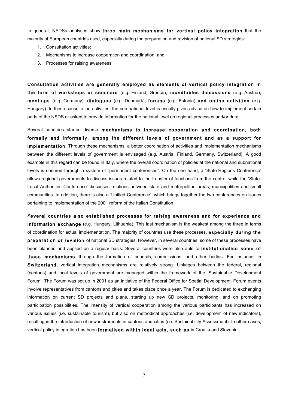In general, NSDSs analyses show three main mechanisms for vertical policy integration that the majority of European countries used, especially during the preparation and revision of national SD strategies:

- 1. Consultation activities;
- 2. Mechanisms to increase cooperation and coordination; and,
- 3. Processes for raising awareness.

Consultation activities are generally employed as elements of vertical policy integration in the form of workshops or seminars (e.g. Finland, Greece), roundtables discussions (e.g. Austria), meetings (e.g. Germany), dialogues (e.g. Denmark), forums (e.g. Estonia) and online activities (e.g. Hungary). In these consultation activities, the sub-national level is usually given advice on how to implement certain parts of the NSDS or asked to provide information for the national level on regional processes and/or data.

Several countries started diverse mechanisms to increase cooperation and coordination, both formally and informally, among the different levels of government and as a support for implementation. Through these mechanisms, a better coordination of activities and implementation mechanisms between the different levels of government is envisaged (e.g. Austria, Finland, Germany, Switzerland). A good example in this regard can be found in Italy, where the overall coordination of policies at the national and subnational levels is ensured through a system of "permanent conferences". On the one hand, a 'State-Regions Conference' allows regional governments to discuss issues related to the transfer of functions from the centre, while the 'State-Local Authorities Conference' discusses relations between state and metropolitan areas, municipalities and small communities. In addition, there is also a 'Unified Conference', which brings together the two conferences on issues pertaining to implementation of the 2001 reform of the Italian Constitution.

Several countries also established processes for raising awareness and for experience and information exchange (e.g. Hungary, Lithuania). This last mechanism is the weakest among the three in terms of coordination for actual implementation. The majority of countries use these processes, especially during the preparation or revision of national SD strategies. However, in several countries, some of these processes have been planned and applied on a regular basis. Several countries were also able to institutionalise some of these mechanisms through the formation of councils, commissions, and other bodies. For instance, in Switzerland, vertical integration mechanisms are relatively strong. Linkages between the federal, regional (cantons) and local levels of government are managed within the framework of the 'Sustainable Development Forum'. The Forum was set up in 2001 as an initiative of the Federal Office for Spatial Development. Forum events involve representatives from cantons and cities and takes place once a year. The Forum is dedicated to exchanging information on current SD projects and plans, starting up new SD projects, monitoring, and on promoting participation possibilities. The intensity of vertical cooperation among the various participants has increased on various issues (i.e. sustainable tourism), but also on methodical approaches (i.e. development of new indicators), resulting in the introduction of new instruments in cantons and cities (i.e. Sustainability Assessment). In other cases, vertical policy integration has been formalised within legal acts, such as in Croatia and Slovenia.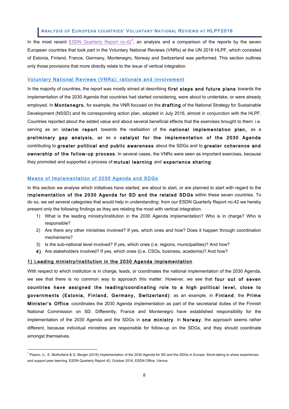#### ANALYSIS OF EUROPEAN COUNTRIES' VOLUNTARY NATIONAL REVIEWS AT HLPF2016

In the most recent **ESDN** Quarterly Report  $\text{no.42}^1$ , an analysis and a comparison of the reports by the seven European countries that took part in the Voluntary National Reviews (VNRs) at the UN 2016 HLPF, which consisted of Estonia, Finland, France, Germany, Montenegro, Norway and Switzerland was performed. This section outlines only those provisions that more directly relate to the issue of vertical integration.

#### Voluntary National Reviews (VNRs): rationale and involvement

In the maiority of countries, the report was mostly aimed at describing first steps and future plans towards the implementation of the 2030 Agenda that countries had started considering, were about to undertake, or were already employed. In Montenegro, for example, the VNR focused on the drafting of the National Strategy for Sustainable Development (NSSD) and its corresponding action plan, adopted in July 2016, almost in conjunction with the HLPF. Countries reported about the added value and about several beneficial effects that the exercises brought to them: i.e. serving as an interim report towards the realisation of the national implementation plan, as a preliminary gap analysis, or as a catalyst for the implementation of the 2030 Agenda contributing to greater political and public awareness about the SDGs and to greater coherence and ownership of the follow-up process. In several cases, the VNRs were seen as important exercises, because they promoted and supported a process of mutual learning and experience sharing.

#### Means of Implementation of 2030 Agenda and SDGs

l

In this section we analyse which initiatives have started, are about to start, or are planned to start with regard to the implementation of the 2030 Agenda for SD and the related SDGs within these seven countries. To do so, we set several categories that would help in understanding: from our ESDN Quarterly Report no.42 we hereby present only the following findings as they are relating the most with vertical integration.

- 1) What is the leading ministry/institution in the 2030 Agenda implementation? Who is in charge? Who is responsible?
- 2) Are there any other ministries involved? If yes, which ones and how? Does it happen through coordination mechanisms?
- 3) Is the sub-national level involved? If yes, which ones (i.e. regions, municipalities)? And how?
- 4) Are stakeholders involved? If yes, which ones ((i.e. CSOs, business, academia)? And how?

#### 1) Leading ministry/institution in the 2030 Agenda implementation

With respect to which institution is in charge, leads, or coordinates the national implementation of the 2030 Agenda, we see that there is no common way to approach this matter. However, we see that four out of seven countries have assigned the leading/coordinating role to a high political level, close to governments (Estonia, Finland, Germany, Switzerland): as an example, in Finland, the Prime Minister's Office coordinates the 2030 Agenda implementation as part of the secretarial duties of the Finnish National Commission on SD. Differently, France and Montenegro have established responsibility for the implementation of the 2030 Agenda and the SDGs in one ministry. In Norway, the approach seems rather different, because individual ministries are responsible for follow-up on the SDGs, and they should coordinate amongst themselves.

<sup>&</sup>lt;sup>1</sup> Pisano, U., E. Mulholland & G. Berger (2016) Implementation of the 2030 Agenda for SD and the SDGs in Europe: Stock-taking to share experiences and support peer learning, ESDN Quarterly Report 42, October 2016, ESDN Office, Vienna.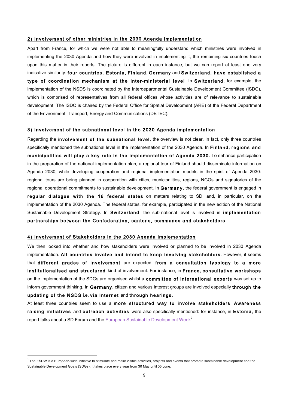#### 2) Involvement of other ministries in the 2030 Agenda implementation

Apart from France, for which we were not able to meaningfully understand which ministries were involved in implementing the 2030 Agenda and how they were involved in implementing it, the remaining six countries touch upon this matter in their reports. The picture is different in each instance, but we can report at least one very indicative similarity: four countries, Estonia, Finland, Germany and Switzerland, have established a type of coordination mechanism at the inter-ministerial level. In Switzerland, for example, the implementation of the NSDS is coordinated by the Interdepartmental Sustainable Development Committee (ISDC), which is comprised of representatives from all federal offices whose activities are of relevance to sustainable development. The ISDC is chaired by the Federal Office for Spatial Development (ARE) of the Federal Department of the Environment, Transport, Energy and Communications (DETEC).

#### 3) Involvement of the subnational level in the 2030 Agenda implementation

Regarding the involvement of the subnational level, the overview is not clear. In fact, only three countries specifically mentioned the subnational level in the implementation of the 2030 Agenda. In Finland, regions and municipalities will play a key role in the implementation of Agenda 2030. To enhance participation in the preparation of the national implementation plan, a regional tour of Finland should disseminate information on Agenda 2030, while developing cooperation and regional implementation models in the spirit of Agenda 2030: regional tours are being planned in cooperation with cities, municipalities, regions, NGOs and signatories of the regional operational commitments to sustainable development. In Germany, the federal government is engaged in regular dialogue with the 16 federal states on matters relating to SD, and, in particular, on the implementation of the 2030 Agenda. The federal states, for example, participated in the new edition of the National Sustainable Development Strategy. In Switzerland, the sub-national level is involved in implementation partnerships between the Confederation, cantons, communes and stakeholders.

#### 4) Involvement of Stakeholders in the 2030 Agenda implementation

 $\overline{a}$ 

We then looked into whether and how stakeholders were involved or planned to be involved in 2030 Agenda implementation. All countries involve and intend to keep involving stakeholders. However, it seems that different grades of involvement are expected: from a consultation typology to a more institutionalised and structured kind of involvement. For instance, in France, consultative workshops on the implementation of the SDGs are organised whilst a committee of international experts was set up to inform government thinking. In Germany, citizen and various interest groups are involved especially through the updating of the NSDS i.e. via Internet and through hearings.

At least three countries seem to use a more structured way to involve stakeholders. Awareness raising initiatives and outreach activities were also specifically mentioned: for instance, in Estonia, the report talks about a SD Forum and the **European Sustainable Development Week**<sup>2</sup>.

 $2$  The ESDW is a European-wide initiative to stimulate and make visible activities, projects and events that promote sustainable development and the Sustainable Development Goals (SDGs). It takes place every year from 30 May until 05 June.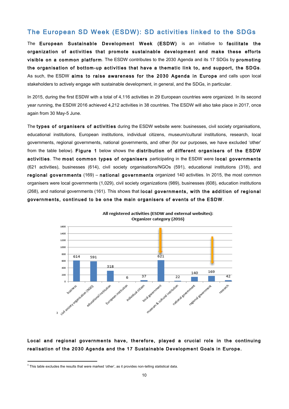### The European SD Week (ESDW): SD activities linked to the SDGs

The European Sustainable Development Week (ESDW) is an initiative to facilitate the organization of activities that promote sustainable development and make these efforts visible on a common platform. The ESDW contributes to the 2030 Agenda and its 17 SDGs by promoting the organisation of bottom-up activities that have a thematic link to, and support, the SDGs. As such, the ESDW aims to raise awareness for the 2030 Agenda in Europe and calls upon local stakeholders to actively engage with sustainable development, in general, and the SDGs, in particular.

In 2015, during the first ESDW with a total of 4,116 activities in 29 European countries were organized. In its second year running, the ESDW 2016 achieved 4,212 activities in 38 countries. The ESDW will also take place in 2017, once again from 30 May-5 June.

The types of organisers of activities during the ESDW website were: businesses, civil society organisations, educational institutions, European institutions, individual citizens, museum/cultural institutions, research, local governments, regional governments, national governments, and other (for our purposes, we have excluded 'other' from the table below). Figure 1 below shows the distribution of different organisers of the ESDW activities. The most common types of organisers participating in the ESDW were local governments (621 activities), businesses (614), civil society organisations/NGOs (591), educational institutions (318), and regional governments (169) – national governments organized 140 activities. In 2015, the most common organisers were local governments (1,029), civil society organizations (989), businesses (608), education institutions (268), and national governments (161). This shows that local governments, with the addition of regional governments, continued to be one the main organisers of events of the ESDW.



All registered activities (ESDW and external websites): Organizer category (2016)

### Local and regional governments have, therefore, played a crucial role in the continuing realisation of the 2030 Agenda and the 17 Sustainable Development Goals in Europe.

 $\overline{a}$ 

 $3$  This table excludes the results that were marked 'other', as it provides non-telling statistical data.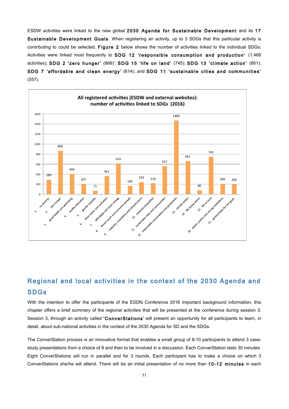ESDW activities were linked to the new global 2030 Agenda for Sustainable Development and its 17 Sustainable Development Goals. When registering an activity, up to 3 SDGs that this particular activity is contributing to could be selected. Figure 2 below shows the number of activities linked to the individual SDGs: Activities were linked most frequently to SDG 12 'responsible consumption and production' (1,468 activities); SDG 2 'zero hunger' (866)'; SDG 15 ' life on land' (745); SDG 13 'climate action' (661); SDG 7 'affordable and clean energy' (614); and SDG 11 'sustainable cities and communities' (557).



### Regional and local activities in the context of the 2030 Agenda and SDGs

With the intention to offer the participants of the ESDN Conference 2016 important background information, this chapter offers a brief summary of the regional activities that will be presented at the conference during session 3. Session 3, through an activity called 'ConverStations' will present an opportunity for all participants to learn, in detail, about sub-national activities in the context of the 2030 Agenda for SD and the SDGs.

The ConverStation process is an innovative format that enables a small group of 8-10 participants to attend 3 casestudy presentations from a choice of 8 and then to be involved in a discussion. Each ConverStation lasts 30 minutes. Eight ConverStations will run in parallel and for 3 rounds. Each participant has to make a choice on which 3 ConverStations she/he will attend. There will be an initial presentation of no more than 10-12 minutes in each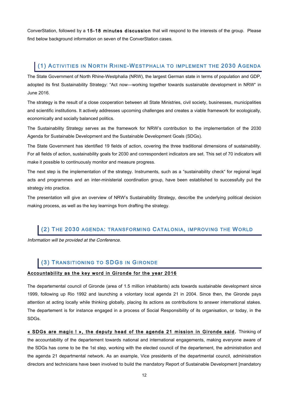ConverStation, followed by a 15-18 minutes discussion that will respond to the interests of the group. Please find below background information on seven of the ConverStation cases.

### (1) ACTIVITIES IN NORTH RHINE-WESTPHALIA TO IMPLEMENT THE 2030 AGENDA

The State Government of North Rhine-Westphalia (NRW), the largest German state in terms of population and GDP, adopted its first Sustainability Strategy: "Act now—working together towards sustainable development in NRW" in June 2016.

The strategy is the result of a close cooperation between all State Ministries, civil society, businesses, municipalities and scientific institutions. It actively addresses upcoming challenges and creates a viable framework for ecologically, economically and socially balanced politics.

The Sustainability Strategy serves as the framework for NRW's contribution to the implementation of the 2030 Agenda for Sustainable Development and the Sustainable Development Goals (SDGs).

The State Government has identified 19 fields of action, covering the three traditional dimensions of sustainability. For all fields of action, sustainability goals for 2030 and correspondent indicators are set. This set of 70 indicators will make it possible to continuously monitor and measure progress.

The next step is the implementation of the strategy. Instruments, such as a "sustainability check" for regional legal acts and programmes and an inter-ministerial coordination group, have been established to successfully put the strategy into practice.

The presentation will give an overview of NRW's Sustainability Strategy, describe the underlying political decision making process, as well as the key learnings from drafting the strategy.

### (2) THE 2030 AGENDA: TRANSFORMING CATALONIA, IMPROVING THE WORLD

Information will be provided at the Conference.

### (3) TRANSITIONING TO SDGS IN GIRONDE

#### Accountability as the key word in Gironde for the year 2016

The departemental council of Gironde (area of 1.5 million inhabitants) acts towards sustainable development since 1999, following up Rio 1992 and launching a volontary local agenda 21 in 2004. Since then, the Gironde pays attention at acting locally while thinking globally, placing its actions as contributions to answer international stakes. The departement is for instance engaged in a process of Social Responsibility of its organisation, or today, in the SDGs.

« SDGs are magic ! », the deputy head of the agenda 21 mission in Gironde said. Thinking of the accountability of the departement towards national and international engagements, making everyone aware of the SDGs has come to be the 1st step, working with the elected council of the departement, the administration and the agenda 21 departmental network. As an example, Vice presidents of the departmental council, administration directors and technicians have been involved to build the mandatory Report of Sustainable Development [mandatory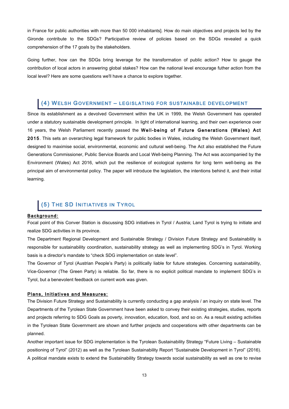in France for public authorities with more than 50 000 inhabitants]. How do main objectives and projects led by the Gironde contribute to the SDGs? Participative review of policies based on the SDGs revealed a quick comprehension of the 17 goals by the stakeholders.

Going further, how can the SDGs bring leverage for the transformation of public action? How to gauge the contribution of local actors in answering global stakes? How can the national level encourage futher action from the local level? Here are some questions we'll have a chance to explore together.

### (4) WELSH GOVERNMENT – LEGISLATING FOR SUSTAINABLE DEVELOPMENT

Since its establishment as a devolved Government within the UK in 1999, the Welsh Government has operated under a statutory sustainable development principle. In light of international learning, and their own experience over 16 years, the Welsh Parliament recently passed the Well-being of Future Generations (Wales) Act 2015. This sets an overarching legal framework for public bodies in Wales, including the Welsh Government itself, designed to maximise social, environmental, economic and cultural well-being. The Act also established the Future Generations Commissioner, Public Service Boards and Local Well-being Planning. The Act was accompanied by the Environment (Wales) Act 2016, which put the resilience of ecological systems for long term well-being as the principal aim of environmental policy. The paper will introduce the legislation, the intentions behind it, and their initial learning.

### (5) THE SD INITIATIVES IN TYROL

#### Background:

Focal point of this Conver Station is discussing SDG initiatives in Tyrol / Austria; Land Tyrol is trying to initiate and realize SDG activities in its province.

The Department Regional Development and Sustainable Strategy / Division Future Strategy and Sustainability is responsible for sustainability coordination, sustainability strategy as well as implementing SDG's in Tyrol. Working basis is a director's mandate to "check SDG implementation on state level".

The Governor of Tyrol (Austrian People's Party) is politically liable for future strategies. Concerning sustainability, Vice-Governor (The Green Party) is reliable. So far, there is no explicit political mandate to implement SDG's in Tyrol, but a benevolent feedback on current work was given.

#### Plans, Initiatives and Measures:

The Division Future Strategy and Sustainability is currently conducting a gap analysis / an inquiry on state level. The Departments of the Tyrolean State Government have been asked to convey their existing strategies, studies, reports and projects referring to SDG Goals as poverty, innovation, education, food, and so on. As a result existing activities in the Tyrolean State Government are shown and further projects and cooperations with other departments can be planned.

Another important issue for SDG implementation is the Tyrolean Sustainability Strategy "Future Living – Sustainable positioning of Tyrol" (2012) as well as the Tyrolean Sustainability Report "Sustainable Development in Tyrol" (2016). A political mandate exists to extend the Sustainability Strategy towards social sustainability as well as one to revise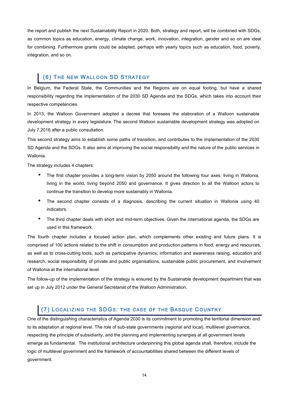the report and publish the next Sustainability Report in 2020. Both, strategy and report, will be combined with SDGs, as common topics as education, energy, climate change, work, innovation, integration, gender and so on are ideal for combining. Furthermore grants could be adapted, perhaps with yearly topics such as education, food, poverty, integration, and so on.

### (6) THE NEW WALLOON SD STRATEGY

In Belgium, the Federal State, the Communities and the Regions are on equal footing, but have a shared responsibility regarding the implementation of the 2030 SD Agenda and the SDGs, which takes into account their respective competencies.

In 2013, the Walloon Government adopted a decree that foresees the elaboration of a Walloon sustainable development strategy in every legislature. The second Walloon sustainable development strategy was adopted on July 7,2016 after a public consultation.

This second strategy aims to establish some paths of transition, and contributes to the implementation of the 2030 SD Agenda and the SDGs. It also aims at improving the social responsibility and the nature of the public services in Wallonia.

The strategy includes 4 chapters:

- The first chapter provides a long-term vision by 2050 around the following four axes: living in Wallonia, living in the world, living beyond 2050 and governance. It gives direction to all the Walloon actors to continue the transition to develop more sustainably in Wallonia.
- The second chapter consists of a diagnosis, describing the current situation in Wallonia using 40 indicators.
- The third chapter deals with short and mid-term objectives. Given the international agenda, the SDGs are used in this framework.

The fourth chapter includes a focused action plan, which complements other existing and future plans. It is comprised of 100 actions related to the shift in consumption and production patterns in food, energy and resources, as well as to cross-cutting tools, such as participative dynamics, information and awareness raising, education and research, social responsibility of private and public organisations, sustainable public procurement, and involvement of Wallonia at the international level.

The follow-up of the implementation of the strategy is ensured by the Sustainable development department that was set up in July 2012 under the General Secretariat of the Walloon Administration.

### (7) LOCALIZING THE SDGS: THE CASE OF THE BASQUE COUNTRY

One of the distinguishing characteristics of Agenda 2030 is its commitment to promoting the territorial dimension and to its adaptation at regional level. The role of sub-state governments (regional and local), multilevel governance, respecting the principle of subsidiarity, and the planning and implementing synergies at all government levels emerge as fundamental. The institutional architecture underpinning this global agenda shall, therefore, include the logic of multilevel government and the framework of accountabilities shared between the different levels of government.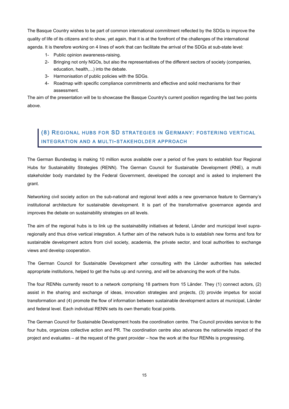The Basque Country wishes to be part of common international commitment reflected by the SDGs to improve the quality of life of its citizens and to show, yet again, that it is at the forefront of the challenges of the international agenda. It is therefore working on 4 lines of work that can facilitate the arrival of the SDGs at sub-state level:

- 1- Public opinion awareness-raising.
- 2- Bringing not only NGOs, but also the representatives of the different sectors of society (companies, education, health,...) into the debate.
- 3- Harmonisation of public policies with the SDGs.
- 4- Roadmap with specific compliance commitments and effective and solid mechanisms for their assessment.

The aim of the presentation will be to showcase the Basque Country's current position regarding the last two points above.

### (8) REGIONAL HUBS FOR SD STRATEGIES IN GERMANY: FOSTERING VERTICAL INTEGRATION AND A MULTI-STAKEHOLDER APPROACH

The German Bundestag is making 10 million euros available over a period of five years to establish four Regional Hubs for Sustainability Strategies (RENN). The German Council for Sustainable Development (RNE), a multi stakeholder body mandated by the Federal Government, developed the concept and is asked to implement the grant.

Networking civil society action on the sub-national and regional level adds a new governance feature to Germany's institutional architecture for sustainable development. It is part of the transformative governance agenda and improves the debate on sustainability strategies on all levels.

The aim of the regional hubs is to link up the sustainability initiatives at federal, Länder and municipal level supraregionally and thus drive vertical integration. A further aim of the network hubs is to establish new forms and fora for sustainable development actors from civil society, academia, the private sector, and local authorities to exchange views and develop cooperation.

The German Council for Sustainable Development after consulting with the Länder authorities has selected appropriate institutions, helped to get the hubs up and running, and will be advancing the work of the hubs.

The four RENNs currently resort to a network comprising 18 partners from 15 Länder. They (1) connect actors, (2) assist in the sharing and exchange of ideas, innovation strategies and projects, (3) provide impetus for social transformation and (4) promote the flow of information between sustainable development actors at municipal, Länder and federal level. Each individual RENN sets its own thematic focal points.

The German Council for Sustainable Development hosts the coordination centre. The Council provides service to the four hubs, organizes collective action and PR. The coordination centre also advances the nationwide impact of the project and evaluates – at the request of the grant provider – how the work at the four RENNs is progressing.